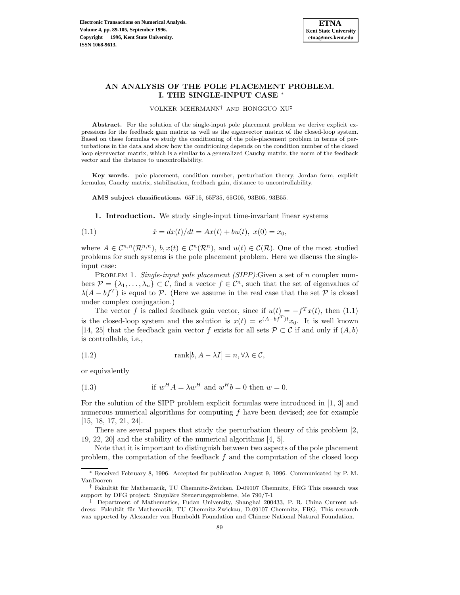

# **AN ANALYSIS OF THE POLE PLACEMENT PROBLEM. I. THE SINGLE-INPUT CASE** <sup>∗</sup>

VOLKER MEHRMANN† AND HONGGUO XU‡

Abstract. For the solution of the single-input pole placement problem we derive explicit expressions for the feedback gain matrix as well as the eigenvector matrix of the closed-loop system. Based on these formulas we study the conditioning of the pole-placement problem in terms of perturbations in the data and show how the conditioning depends on the condition number of the closed loop eigenvector matrix, which is a similar to a generalized Cauchy matrix, the norm of the feedback vector and the distance to uncontrollability.

**Key words.** pole placement, condition number, perturbation theory, Jordan form, explicit formulas, Cauchy matrix, stabilization, feedback gain, distance to uncontrollability.

**AMS subject classifications.** 65F15, 65F35, 65G05, 93B05, 93B55.

**1. Introduction.** We study single-input time-invariant linear systems

(1.1) 
$$
\dot{x} = dx(t)/dt = Ax(t) + bu(t), \ x(0) = x_0,
$$

where  $A \in \mathcal{C}^{n,n}(\mathcal{R}^{n,n}), b, x(t) \in \mathcal{C}^n(\mathcal{R}^n)$ , and  $u(t) \in \mathcal{C}(\mathcal{R})$ . One of the most studied problems for such systems is the pole placement problem. Here we discuss the singleinput case:

PROBLEM 1. Single-input pole placement (SIPP): Given a set of n complex numbers  $\mathcal{P} = {\lambda_1, ..., \lambda_n} \subset \mathcal{C}$ , find a vector  $f \in \mathcal{C}^n$ , such that the set of eigenvalues of  $\lambda(A - bf^T)$  is equal to P. (Here we assume in the real case that the set P is closed under complex conjugation.)

The vector f is called feedback gain vector, since if  $u(t) = -f^{T}x(t)$ , then (1.1) is the closed-loop system and the solution is  $x(t) = e^{(A-bf^{T})t}x_0$ . It is well known [14, 25] that the feedback gain vector f exists for all sets  $\mathcal{P} \subset \mathcal{C}$  if and only if  $(A, b)$ is controllable, i.e.,

(1.2) 
$$
\text{rank}[b, A - \lambda I] = n, \forall \lambda \in \mathcal{C},
$$

or equivalently

(1.3) if 
$$
w^H A = \lambda w^H
$$
 and  $w^H b = 0$  then  $w = 0$ .

For the solution of the SIPP problem explicit formulas were introduced in [1, 3] and numerous numerical algorithms for computing  $f$  have been devised; see for example [15, 18, 17, 21, 24].

There are several papers that study the perturbation theory of this problem [2, 19, 22, 20] and the stability of the numerical algorithms [4, 5].

Note that it is important to distinguish between two aspects of the pole placement problem, the computation of the feedback  $f$  and the computation of the closed loop

Received February 8, 1996. Accepted for publication August 9, 1996. Communicated by P. M. VanDooren

<sup>†</sup> Fakult¨at f¨ur Mathematik, TU Chemnitz-Zwickau, D-09107 Chemnitz, FRG This research was support by DFG project: Singuläre Steuerungsprobleme, Me 790/7-1

<sup>‡</sup> Department of Mathematics, Fudan University, Shanghai 200433, P. R. China Current address: Fakultät für Mathematik, TU Chemnitz-Zwickau, D-09107 Chemnitz, FRG, This research was upported by Alexander von Humboldt Foundation and Chinese National Natural Foundation.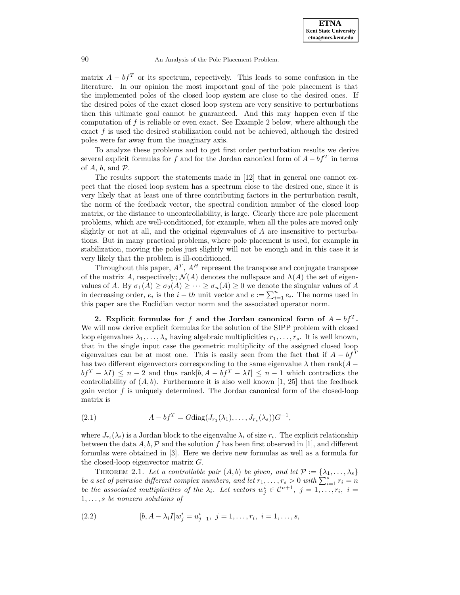matrix  $A - bf^T$  or its spectrum, repectively. This leads to some confusion in the literature. In our opinion the most important goal of the pole placement is that the implemented poles of the closed loop system are close to the desired ones. If the desired poles of the exact closed loop system are very sensitive to perturbations then this ultimate goal cannot be guaranteed. And this may happen even if the computation of  $f$  is reliable or even exact. See Example 2 below, where although the exact  $f$  is used the desired stabilization could not be achieved, although the desired poles were far away from the imaginary axis.

To analyze these problems and to get first order perturbation results we derive several explicit formulas for f and for the Jordan canonical form of  $A - bf^T$  in terms of  $A$ ,  $b$ , and  $\mathcal{P}$ .

The results support the statements made in [12] that in general one cannot expect that the closed loop system has a spectrum close to the desired one, since it is very likely that at least one of three contributing factors in the perturbation result, the norm of the feedback vector, the spectral condition number of the closed loop matrix, or the distance to uncontrollability, is large. Clearly there are pole placement problems, which are well-conditioned, for example, when all the poles are moved only slightly or not at all, and the original eigenvalues of  $A$  are insensitive to perturbations. But in many practical problems, where pole placement is used, for example in stabilization, moving the poles just slightly will not be enough and in this case it is very likely that the problem is ill-conditioned.

Throughout this paper,  $A<sup>T</sup>$ ,  $A<sup>H</sup>$  represent the transpose and conjugate transpose of the matrix A, respectively;  $\mathcal{N}(A)$  denotes the nullspace and  $\Lambda(A)$  the set of eigenvalues of A. By  $\sigma_1(A) \geq \sigma_2(A) \geq \cdots \geq \sigma_n(A) \geq 0$  we denote the singular values of A in decreasing order,  $e_i$  is the  $i - th$  unit vector and  $e := \sum_{i=1}^n e_i$ . The norms used in this paper are the Euclidian vector norm and the associated operator norm.

**2.** Explicit formulas for f and the Jordan canonical form of  $A - bf^T$ . We will now derive explicit formulas for the solution of the SIPP problem with closed loop eigenvalues  $\lambda_1,\ldots,\lambda_s$  having algebraic multiplicities  $r_1,\ldots,r_s$ . It is well known, that in the single input case the geometric multiplicity of the assigned closed loop eigenvalues can be at most one. This is easily seen from the fact that if  $A - bf^T$ has two different eigenvectors corresponding to the same eigenvalue  $\lambda$  then rank( $A$  $bf^T - \lambda I) \leq n - 2$  and thus rank $[b, A - bf^T - \lambda I] \leq n - 1$  which contradicts the controllability of  $(A, b)$ . Furthermore it is also well known [1, 25] that the feedback gain vector f is uniquely determined. The Jordan canonical form of the closed-loop matrix is

(2.1) 
$$
A - bf^T = G \text{diag}(J_{r_1}(\lambda_1), \dots, J_{r_s}(\lambda_s))G^{-1},
$$

where  $J_{r_i}(\lambda_i)$  is a Jordan block to the eigenvalue  $\lambda_i$  of size  $r_i$ . The explicit relationship between the data A, b, P and the solution f has been first observed in [1], and different formulas were obtained in [3]. Here we derive new formulas as well as a formula for the closed-loop eigenvector matrix G.

THEOREM 2.1. Let a controllable pair  $(A, b)$  be given, and let  $\mathcal{P} := {\lambda_1, \ldots, \lambda_s}$ be a set of pairwise different complex numbers, and let  $r_1, \ldots, r_s > 0$  with  $\sum_{i=1}^s r_i = n$ be the associated multiplicities of the  $\lambda_i$ . Let vectors  $w_j^i \in \mathcal{C}^{n+1}$ ,  $j = 1, \ldots, r_i$ ,  $i =$ 1,...,s be nonzero solutions of

(2.2) 
$$
[b, A - \lambda_i I]w_j^i = u_{j-1}^i, \ j = 1, \dots, r_i, \ i = 1, \dots, s,
$$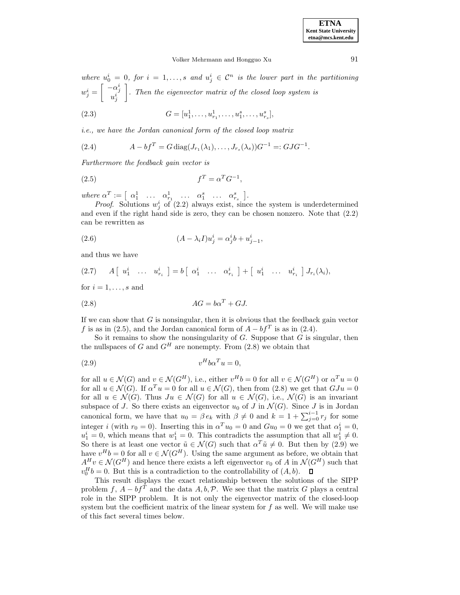where  $u_0^i = 0$ , for  $i = 1, ..., s$  and  $u_j^i \in \mathcal{C}^n$  is the lower part in the partitioning  $w_j^i = \begin{bmatrix} -\alpha_j^i \\ u_j^i \end{bmatrix}$ . Then the eigenvector matrix of the closed loop system is

(2.3) 
$$
G = [u_1^1, \dots, u_{r_1}^1, \dots, u_1^s, \dots, u_{r_s}^s],
$$

i.e., we have the Jordan canonical form of the closed loop matrix

(2.4) 
$$
A - bf^T = G \operatorname{diag}(J_{r_1}(\lambda_1), \dots, J_{r_s}(\lambda_s))G^{-1} =: GJG^{-1}.
$$

Furthermore the feedback gain vector is

$$
(2.5) \t\t fT = \alphaT G-1,
$$

where  $\alpha^T := \begin{bmatrix} \alpha_1^1 & \dots & \alpha_{r_1}^1 & \dots & \alpha_1^s & \dots & \alpha_{r_s}^s \end{bmatrix}$ .

*Proof.* Solutions  $w_j^i$  of (2.2) always exist, since the system is underdetermined and even if the right hand side is zero, they can be chosen nonzero. Note that (2.2) can be rewritten as

(2.6) 
$$
(A - \lambda_i I)u_j^i = \alpha_j^i b + u_{j-1}^i,
$$

and thus we have

$$
(2.7) \qquad A \left[ \begin{array}{cccc} u_1^i & \ldots & u_{r_i}^i \end{array} \right] = b \left[ \begin{array}{cccc} \alpha_1^i & \ldots & \alpha_{r_i}^i \end{array} \right] + \left[ \begin{array}{cccc} u_1^i & \ldots & u_{r_i}^i \end{array} \right] J_{r_i}(\lambda_i),
$$

for  $i = 1, \ldots, s$  and

$$
(2.8)\qquad \qquad AG = b\alpha^T + GJ.
$$

If we can show that  $G$  is nonsingular, then it is obvious that the feedback gain vector f is as in (2.5), and the Jordan canonical form of  $A - bf^T$  is as in (2.4).

So it remains to show the nonsingularity of  $G$ . Suppose that  $G$  is singular, then the nullspaces of G and  $G<sup>H</sup>$  are nonempty. From (2.8) we obtain that

$$
(2.9) \t\t vH b\alphaT u = 0,
$$

for all  $u \in \mathcal{N}(G)$  and  $v \in \mathcal{N}(G^H)$ , i.e., either  $v^H b = 0$  for all  $v \in \mathcal{N}(G^H)$  or  $\alpha^T u = 0$ for all  $u \in \mathcal{N}(G)$ . If  $\alpha^T u = 0$  for all  $u \in \mathcal{N}(G)$ , then from  $(2.8)$  we get that  $GJu = 0$ for all  $u \in \mathcal{N}(G)$ . Thus  $Ju \in \mathcal{N}(G)$  for all  $u \in \mathcal{N}(G)$ , i.e.,  $\mathcal{N}(G)$  is an invariant subspace of J. So there exists an eigenvector  $u_0$  of J in  $\mathcal{N}(G)$ . Since J is in Jordan canonical form, we have that  $u_0 = \beta e_k$  with  $\beta \neq 0$  and  $k = 1 + \sum_{j=0}^{i-1} r_j$  for some integer i (with  $r_0 = 0$ ). Inserting this in  $\alpha^T u_0 = 0$  and  $Gu_0 = 0$  we get that  $\alpha_1^i = 0$ ,  $u_1^i = 0$ , which means that  $w_1^i = 0$ . This contradicts the assumption that all  $w_1^i \neq 0$ . So there is at least one vector  $\tilde{u} \in \mathcal{N}(G)$  such that  $\alpha^T \tilde{u} \neq 0$ . But then by  $(2.9)$  we have  $v^H b = 0$  for all  $v \in \mathcal{N}(G^H)$ . Using the same argument as before, we obtain that  $A^H v \in \mathcal{N}(G^H)$  and hence there exists a left eigenvector  $v_0$  of A in  $\mathcal{N}(G^H)$  such that  $v_0^H b = 0$ . But this is a contradiction to the controllability of  $(A, b)$ .

This result displays the exact relationship between the solutions of the SIPP problem f,  $A - bf^T$  and the data  $A, b, \mathcal{P}$ . We see that the matrix G plays a central role in the SIPP problem. It is not only the eigenvector matrix of the closed-loop system but the coefficient matrix of the linear system for  $f$  as well. We will make use of this fact several times below.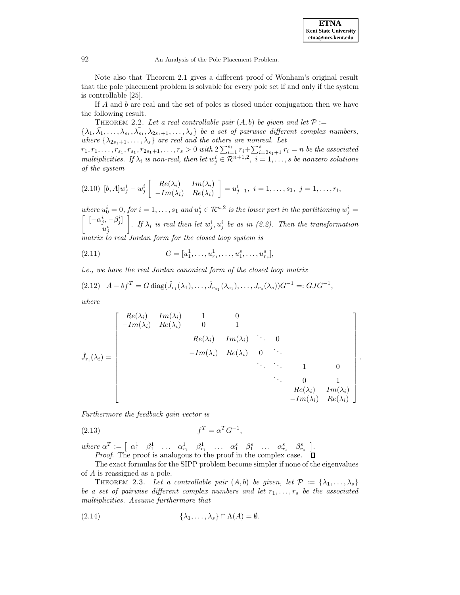.

92 An Analysis of the Pole Placement Problem.

Note also that Theorem 2.1 gives a different proof of Wonham's original result that the pole placement problem is solvable for every pole set if and only if the system is controllable [25].

If A and b are real and the set of poles is closed under conjugation then we have the following result.

THEOREM 2.2. Let a real controllable pair  $(A, b)$  be given and let  $\mathcal{P} :=$  $\{\lambda_1, \overline{\lambda_1}, \ldots, \lambda_{s_1}, \overline{\lambda_{s_1}}, \lambda_{2s_1+1}, \ldots, \lambda_s\}$  be a set of pairwise different complex numbers,

where  $\{\lambda_{2s_1+1},\ldots,\lambda_s\}$  are real and the others are nonreal. Let  $r_1, r_1, \ldots, r_{s_1}, r_{s_1}, r_{2s_1+1}, \ldots, r_s > 0$  with  $2 \sum_{i=1}^{s_1} r_i + \sum_{i=2s_1+1}^{s} r_i = n$  be the associated multiplicities. If  $\lambda_i$  is non-real, then let  $w_j^i \in \mathcal{R}^{n+1,2}$ ,  $i = 1, \ldots, s$  be nonzero solutions of the system

$$
(2.10) \ [b, A]w_j^i - w_j^i \begin{bmatrix} Re(\lambda_i) & Im(\lambda_i) \\ -Im(\lambda_i) & Re(\lambda_i) \end{bmatrix} = u_{j-1}^i, \ i = 1, \dots, s_1, \ j = 1, \dots, r_i,
$$

where  $u_0^i = 0$ , for  $i = 1, ..., s_1$  and  $u_j^i \in \mathcal{R}^{n,2}$  is the lower part in the partitioning  $w_j^i =$  $\left[ \begin{array}{c} [-\alpha_j^i, -\beta_j^i] \end{array} \right]$  $u^i_j$  $\Big]$ . If  $\lambda_i$  is real then let  $w_j^i, u_j^i$  be as in (2.2). Then the transformation matrix to real Jordan form for the closed loop system is

(2.11) 
$$
G = [u_1^1, \dots, u_{r_1}^1, \dots, u_1^s, \dots, u_{r_s}^s],
$$

i.e., we have the real Jordan canonical form of the closed loop matrix

$$
(2.12) \quad A - bf^T = G \operatorname{diag}(\hat{J}_{r_1}(\lambda_1), \dots, \hat{J}_{r_{s_1}}(\lambda_{s_1}), \dots, J_{r_s}(\lambda_s))G^{-1} =: GJG^{-1},
$$

where

$$
\hat{J}_{r_i}(\lambda_i) = \begin{bmatrix}\nRe(\lambda_i) & Im(\lambda_i) & 1 & 0 \\
-Im(\lambda_i) & Re(\lambda_i) & 0 & 1 \\
& Re(\lambda_i) & Im(\lambda_i) & \ddots & 0 \\
& & -Im(\lambda_i) & Re(\lambda_i) & 0 \\
& & & \ddots & \ddots & 1 & 0 \\
& & & & Re(\lambda_i) & Im(\lambda_i) \\
& & & & & Re(\lambda_i) & Im(\lambda_i) \\
& & & & & -Im(\lambda_i) & Re(\lambda_i)\n\end{bmatrix}
$$

Furthermore the feedback gain vector is

$$
(2.13)\t\t\t fT = \alphaT G-1,
$$

where  $\alpha^T := \begin{bmatrix} \alpha_1^1 & \beta_1^1 & \dots & \alpha_{r_1}^1 & \beta_{r_1}^1 & \dots & \alpha_1^s & \beta_1^s & \dots & \alpha_{r_s}^s & \beta_{r_s}^s \end{bmatrix}$ . Proof. The proof is analogous to the proof in the complex case.

The exact formulas for the SIPP problem become simpler if none of the eigenvalues of A is reassigned as a pole.

THEOREM 2.3. Let a controllable pair  $(A, b)$  be given, let  $\mathcal{P} := {\lambda_1, \ldots, \lambda_s}$ be a set of pairwise different complex numbers and let  $r_1, \ldots, r_s$  be the associated multiplicities. Assume furthermore that

(2.14) 
$$
\{\lambda_1,\ldots,\lambda_s\}\cap\Lambda(A)=\emptyset.
$$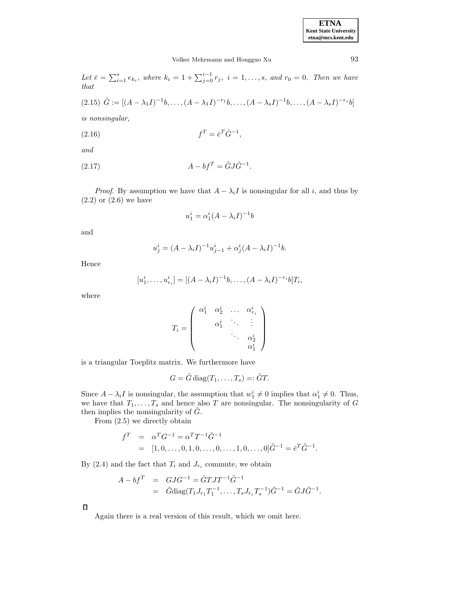# Volker Mehrmann and Hongguo Xu 93

Let  $\bar{e} = \sum_{i=1}^{s} e_{k_i}$ , where  $k_i = 1 + \sum_{j=0}^{i-1} r_j$ ,  $i = 1, ..., s$ , and  $r_0 = 0$ . Then we have that

$$
(2.15) \tilde{G} := [(A - \lambda_1 I)^{-1} b, \dots, (A - \lambda_1 I)^{-r_1} b, \dots, (A - \lambda_s I)^{-1} b, \dots, (A - \lambda_s I)^{-r_s} b]
$$

is nonsingular,

$$
(2.16)\qquad \qquad f^T = \bar{e}^T \tilde{G}^{-1},
$$

and

$$
(2.17) \t\t A - bf^T = \tilde{G}J\tilde{G}^{-1}.
$$

*Proof.* By assumption we have that  $A - \lambda_i I$  is nonsingular for all i, and thus by  $(2.2)$  or  $(2.6)$  we have

$$
u_1^i = \alpha_1^i (A - \lambda_i I)^{-1} b
$$

and

$$
u_j^i = (A - \lambda_i I)^{-1} u_{j-1}^i + \alpha_j^i (A - \lambda_i I)^{-1} b.
$$

Hence

$$
[u_1^i, \dots, u_{r_i}^i] = [(A - \lambda_i I)^{-1}b, \dots, (A - \lambda_i I)^{-r_i}b]T_i,
$$

where

$$
T_i=\left(\begin{array}{cccc} \alpha_1^i & \alpha_2^i & \ldots & \alpha_{r_i}^i \\ & \alpha_1^i & \ddots & \vdots \\ & & \ddots & \alpha_2^i \\ & & & \alpha_1^i \end{array}\right)
$$

is a triangular Toeplitz matrix. We furthermore have

$$
G = \tilde{G} \operatorname{diag}(T_1, \ldots, T_s) =: \tilde{G}T.
$$

Since  $A - \lambda_i I$  is nonsingular, the assumption that  $w_1^i \neq 0$  implies that  $\alpha_1^i \neq 0$ . Thus, we have that  $T_1, \ldots, T_s$  and hence also T are nonsingular. The nonsingularity of G then implies the nonsingularity of  $G$ .

From (2.5) we directly obtain

$$
f^{T} = \alpha^{T} G^{-1} = \alpha^{T} T^{-1} \tilde{G}^{-1}
$$
  
= [1, 0, ..., 0, 1, 0, ..., 0, ..., 1, 0, ..., 1, 0, ..., 0]  $\tilde{G}^{-1} = \bar{e}^{T} \tilde{G}^{-1}$ .

By (2.4) and the fact that  $T_i$  and  $J_{r_i}$  commute, we obtain

$$
A - bf^{T} = GJG^{-1} = \tilde{G}TJT^{-1}\tilde{G}^{-1}
$$
  
=  $\tilde{G}$ diag $(T_1J_{r_1}T_1^{-1},...,T_sJ_{r_s}T_s^{-1})\tilde{G}^{-1} = \tilde{G}J\tilde{G}^{-1}.$ 

 $\Box$ 

Again there is a real version of this result, which we omit here.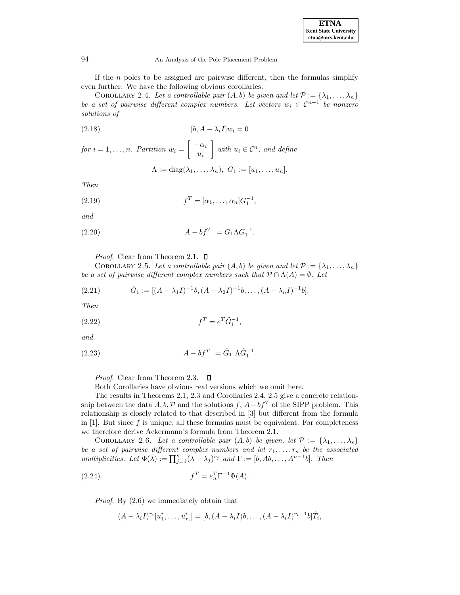| <b>ETNA</b>                  |  |  |  |
|------------------------------|--|--|--|
| <b>Kent State University</b> |  |  |  |
| etna@mcs.kent.edu            |  |  |  |

If the  $n$  poles to be assigned are pairwise different, then the formulas simplify even further. We have the following obvious corollaries.

COROLLARY 2.4. Let a controllable pair  $(A, b)$  be given and let  $\mathcal{P} := {\lambda_1, \ldots, \lambda_n}$ be a set of pairwise different complex numbers. Let vectors  $w_i \in C^{n+1}$  be nonzero solutions of

$$
[b, A - \lambda_i I]w_i = 0
$$

for  $i = 1, \ldots, n$ . Partition  $w_i = \begin{bmatrix} -\alpha_i \\ w_i \end{bmatrix}$  $u_i$ with  $u_i \in \mathcal{C}^n$ , and define  $\Lambda := \text{diag}(\lambda_1, \ldots, \lambda_n), \ G_1 := [u_1, \ldots, u_n].$ 

Then

(2.19) 
$$
f^T = [\alpha_1, ..., \alpha_n]G_1^{-1},
$$

and

(2.20) 
$$
A - bf^T = G_1 \Lambda G_1^{-1}.
$$

*Proof.* Clear from Theorem 2.1.  $\Box$ 

COROLLARY 2.5. Let a controllable pair  $(A, b)$  be given and let  $\mathcal{P} := {\lambda_1, \ldots, \lambda_n}$ be a set of pairwise different complex numbers such that  $\mathcal{P} \cap \Lambda(A) = \emptyset$ . Let

(2.21) 
$$
\tilde{G}_1 := [(A - \lambda_1 I)^{-1} b, (A - \lambda_2 I)^{-1} b, \dots, (A - \lambda_n I)^{-1} b].
$$

Then

(2.22) 
$$
f^T = e^T \tilde{G}_1^{-1},
$$

and

(2.23) 
$$
A - bf^T = \tilde{G}_1 \Lambda \tilde{G}_1^{-1}.
$$

*Proof.* Clear from Theorem 2.3.  $\Box$ 

Both Corollaries have obvious real versions which we omit here.

The results in Theorems 2.1, 2.3 and Corollaries 2.4, 2.5 give a concrete relationship between the data  $A, b, \mathcal{P}$  and the solutions f,  $A - bf^T$  of the SIPP problem. This relationship is closely related to that described in [3] but different from the formula in  $[1]$ . But since f is unique, all these formulas must be equivalent. For completeness we therefore derive Ackermann's formula from Theorem 2.1.

COROLLARY 2.6. Let a controllable pair  $(A, b)$  be given, let  $\mathcal{P} := {\lambda_1, \ldots, \lambda_s}$ be a set of pairwise different complex numbers and let  $r_1, \ldots, r_s$  be the associated multiplicities. Let  $\Phi(\lambda) := \prod_{j=1}^s (\lambda - \lambda_j)^{r_j}$  and  $\Gamma := [b, Ab, \dots, A^{n-1}b]$ . Then

(2.24) 
$$
f^T = e_n^T \Gamma^{-1} \Phi(A).
$$

Proof. By (2.6) we immediately obtain that

$$
(A - \lambda_i I)^{r_i}[u_1^i, \dots, u_{r_i}^i] = [b, (A - \lambda_i I)b, \dots, (A - \lambda_i I)^{r_i-1}b]\hat{T}_i,
$$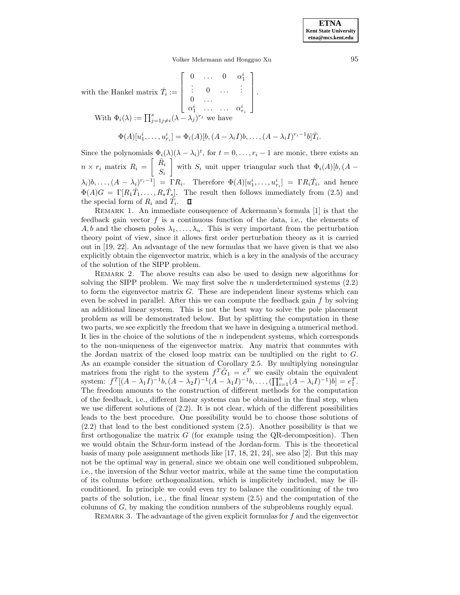Volker Mehrmann and Hongguo Xu 95

with the Hankel matrix  $\hat{T}_i :=$  $\sqrt{ }$   $\begin{matrix} 0 & \ldots & 0 & \alpha_1^i \ \vdots & 0 & \ldots & \vdots \end{matrix}$  $0 \quad \ldots$  $\alpha_1^i$  ... ...  $\alpha_{r_i}^i$ 1  $\Bigg\}$ . With  $\Phi_i(\lambda) := \prod_{j=1}^s j \neq i} (\lambda - \lambda_j)^{r_j}$  we have

$$
\Phi(A)[u_1^i,\ldots,u_{r_i}^i] = \Phi_i(A)[b,(A-\lambda_i I)b,\ldots,(A-\lambda_i I)^{r_i-1}b]\hat{T}_i.
$$

Since the polynomials  $\Phi_i(\lambda)(\lambda - \lambda_i)^t$ , for  $t = 0, \ldots, r_i - 1$  are monic, there exists an  $n \times r_i$  matrix  $R_i = \begin{bmatrix} \hat{R_i} \\ S_i \end{bmatrix}$  $S_i$ with  $S_i$  unit upper triangular such that  $\Phi_i(A)[b,(A \lambda_i]b, \ldots, (A - \lambda_i)^{r_i-1}$ ] = ΓR<sub>i</sub>. Therefore  $\Phi(A)[u_1^i, \ldots, u_{r_i}^i] = \Gamma R_i \hat{T}_i$ , and hence  $\Phi(A)G = \Gamma[R_1\hat{T}_1,\ldots,R_s\hat{T}_s].$  The result then follows immediately from (2.5) and the special form of  $R_i$  and  $\tilde{T_i}$ .

REMARK 1. An immediate consequence of Ackermann's formula  $[1]$  is that the feedback gain vector  $f$  is a continuous function of the data, i.e., the elements of A, b and the chosen poles  $\lambda_1,\ldots,\lambda_n$ . This is very important from the perturbation theory point of view, since it allows first order perturbation theory as it is carried out in [19, 22]. An advantage of the new formulas that we have given is that we also explicitly obtain the eigenvector matrix, which is a key in the analysis of the accuracy of the solution of the SIPP problem.

REMARK 2. The above results can also be used to design new algorithms for solving the SIPP problem. We may first solve the n underdetermined systems  $(2.2)$ to form the eigenvector matrix  $G$ . These are independent linear systems which can even be solved in parallel. After this we can compute the feedback gain  $f$  by solving an additional linear system. This is not the best way to solve the pole placement problem as will be demonstrated below. But by splitting the computation in these two parts, we see explicitly the freedom that we have in designing a numerical method. It lies in the choice of the solutions of the n independent systems, which corresponds to the non-uniqueness of the eigenvector matrix. Any matrix that commutes with the Jordan matrix of the closed loop matrix can be multiplied on the right to G. As an example consider the situation of Corollary 2.5. By multiplying nonsingular matrices from the right to the system  $f^T\tilde{G}_1 = e^T$  we easily obtain the equivalent system:  $f^T[(A - \lambda_1 I)^{-1}b, (A - \lambda_2 I)^{-1}(A - \lambda_1 I)^{-1}b, \dots, (\prod_{i=1}^n (A - \lambda_i I)^{-1})b] = e_1^T$ . The freedom amounts to the construction of different methods for the computation of the feedback, i.e., different linear systems can be obtained in the final step, when we use different solutions of  $(2.2)$ . It is not clear, which of the different possibilities leads to the best procedure. One possibility would be to choose those solutions of (2.2) that lead to the best conditioned system (2.5). Another possibility is that we first orthogonalize the matrix  $G$  (for example using the QR-decomposition). Then we would obtain the Schur-form instead of the Jordan-form. This is the theoretical basis of many pole assignment methods like [17, 18, 21, 24], see also [2]. But this may not be the optimal way in general, since we obtain one well conditioned subproblem, i.e., the inversion of the Schur vector matrix, while at the same time the computation of its columns before orthogonalization, which is implicitely included, may be illconditioned. In principle we could even try to balance the conditioning of the two parts of the solution, i.e., the final linear system (2.5) and the computation of the columns of G, by making the condition numbers of the subproblems roughly equal.

REMARK 3. The advantage of the given explicit formulas for  $f$  and the eigenvector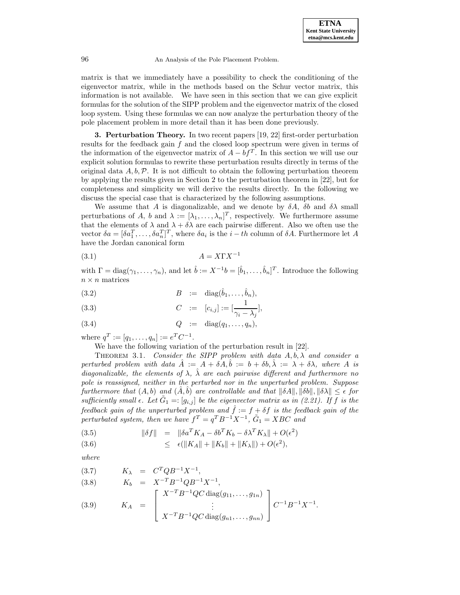matrix is that we immediately have a possibility to check the conditioning of the eigenvector matrix, while in the methods based on the Schur vector matrix, this information is not available. We have seen in this section that we can give explicit formulas for the solution of the SIPP problem and the eigenvector matrix of the closed loop system. Using these formulas we can now analyze the perturbation theory of the pole placement problem in more detail than it has been done previously.

**3. Perturbation Theory.** In two recent papers [19, 22] first-order perturbation results for the feedback gain  $f$  and the closed loop spectrum were given in terms of the information of the eigenvector matrix of  $A - bf^T$ . In this section we will use our explicit solution formulas to rewrite these perturbation results directly in terms of the original data  $A, b, \mathcal{P}$ . It is not difficult to obtain the following perturbation theorem by applying the results given in Section 2 to the perturbation theorem in [22], but for completeness and simplicity we will derive the results directly. In the following we discuss the special case that is characterized by the following assumptions.

We assume that A is diagonalizable, and we denote by  $\delta A$ ,  $\delta b$  and  $\delta \lambda$  small perturbations of A, b and  $\lambda := [\lambda_1, \ldots, \lambda_n]^T$ , respectively. We furthermore assume that the elements of  $\lambda$  and  $\lambda + \delta \lambda$  are each pairwise different. Also we often use the vector  $\delta a = [\delta a_1^T, \ldots, \delta a_n^T]^T$ , where  $\delta a_i$  is the  $i - th$  column of  $\delta A$ . Furthermore let A have the Jordan canonical form

$$
(3.1)\t\t\t A = X\Gamma X^{-1}
$$

with  $\Gamma = \text{diag}(\gamma_1, \ldots, \gamma_n)$ , and let  $\hat{b} := X^{-1}b = [\hat{b}_1, \ldots, \hat{b}_n]^T$ . Introduce the following  $n \times n$  matrices

$$
(3.2) \t\t B := \text{diag}(\hat{b}_1,\ldots,\hat{b}_n),
$$

(3.3) 
$$
C := [c_{i,j}] := [\frac{1}{\gamma_i - \lambda_j}],
$$

$$
(3.4) \tQ := diag(q_1, \ldots, q_n),
$$

where  $q^T := [q_1, \ldots, q_n] := e^T C^{-1}.$ 

We have the following variation of the perturbation result in [22].

THEOREM 3.1. Consider the SIPP problem with data  $A, b, \lambda$  and consider a perturbed problem with data  $\hat{A} := A + \delta A, \hat{b} := b + \delta b, \hat{\lambda} := \lambda + \delta \lambda$ , where A is diagonalizable, the elements of  $\lambda$ ,  $\hat{\lambda}$  are each pairwise different and furthermore no pole is reassigned, neither in the perturbed nor in the unperturbed problem. Suppose furthermore that  $(A, b)$  and  $(\overline{A}, \overline{b})$  are controllable and that  $\|\delta A\|, \|\delta b\|, \|\delta \lambda\| \leq \epsilon$  for sufficiently small  $\epsilon$ . Let  $\tilde{G}_1 = : [g_{i,j}]$  be the eigenvector matrix as in (2.21). If f is the feedback gain of the unperturbed problem and  $\hat{f} := f + \delta f$  is the feedback gain of the perturbated system, then we have  $f^T = q^T B^{-1} X^{-1}$ ,  $\tilde{G}_1 = XBC$  and

(3.5) 
$$
\|\delta f\| = \|\delta a^T K_A - \delta b^T K_b - \delta \lambda^T K_\lambda\| + O(\epsilon^2)
$$

(3.6) 
$$
\leq \epsilon(\|K_A\| + \|K_b\| + \|K_{\lambda}\|) + O(\epsilon^2),
$$

where

(3.7) 
$$
K_{\lambda} = C^{T}QB^{-1}X^{-1}
$$
,  
\n(3.8)  $K_{b} = X^{-T}B^{-1}QB^{-1}X^{-1}$ ,  
\n(3.9)  $K_{A} = \begin{bmatrix} X^{-T}B^{-1}QC \operatorname{diag}(g_{11},...,g_{1n}) \\ \vdots \\ X^{-T}B^{-1}QC \operatorname{diag}(g_{n1},...,g_{nn}) \end{bmatrix} C^{-1}B^{-1}X^{-1}$ .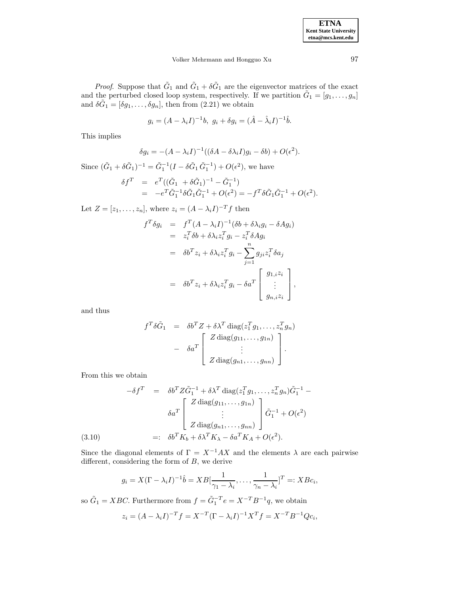*Proof.* Suppose that  $\tilde{G}_1$  and  $\tilde{G}_1 + \delta \tilde{G}_1$  are the eigenvector matrices of the exact and the perturbed closed loop system, respectively. If we partition  $\tilde{G}_1 = [g_1, \ldots, g_n]$ and  $\delta \tilde{G}_1 = [\delta g_1, \ldots, \delta g_n]$ , then from  $(2.21)$  we obtain

$$
g_i = (A - \lambda_i I)^{-1}b, \ g_i + \delta g_i = (\hat{A} - \hat{\lambda}_i I)^{-1}\hat{b}.
$$

This implies

$$
\delta g_i = -(A - \lambda_i I)^{-1} ((\delta A - \delta \lambda_i I) g_i - \delta b) + O(\epsilon^2).
$$

Since  $(\tilde{G}_1 + \delta \tilde{G}_1)^{-1} = \tilde{G}_1^{-1}(I - \delta \tilde{G}_1 \tilde{G}_1^{-1}) + O(\epsilon^2)$ , we have  $\delta f^T = e^T((\tilde{G}_1 + \delta \tilde{G}_1)^{-1} - \tilde{G}_1^{-1})$ =  $-e^T \tilde{G}_1^{-1} \delta \tilde{G}_1 \tilde{G}_1^{-1} + O(\epsilon^2) = -f^T \delta \tilde{G}_1 \tilde{G}_1^{-1} + O(\epsilon^2).$ 

Let  $Z = [z_1, \ldots, z_n]$ , where  $z_i = (A - \lambda_i I)^{-T} f$  then

$$
f^T \delta g_i = f^T (A - \lambda_i I)^{-1} (\delta b + \delta \lambda_i g_i - \delta A g_i)
$$
  
\n
$$
= z_i^T \delta b + \delta \lambda_i z_i^T g_i - z_i^T \delta A g_i
$$
  
\n
$$
= \delta b^T z_i + \delta \lambda_i z_i^T g_i - \sum_{j=1}^n g_{ji} z_i^T \delta a_j
$$
  
\n
$$
= \delta b^T z_i + \delta \lambda_i z_i^T g_i - \delta a^T \begin{bmatrix} g_{1,i} z_i \\ \vdots \\ g_{n,i} z_i \end{bmatrix},
$$

and thus

$$
f^T \delta \tilde{G}_1 = \delta b^T Z + \delta \lambda^T \operatorname{diag}(z_1^T g_1, \dots, z_n^T g_n)
$$

$$
- \delta a^T \begin{bmatrix} Z \operatorname{diag}(g_{11}, \dots, g_{1n}) \\ \vdots \\ Z \operatorname{diag}(g_{n1}, \dots, g_{nn}) \end{bmatrix}.
$$

From this we obtain

$$
-\delta f^T = \delta b^T Z \tilde{G}_1^{-1} + \delta \lambda^T \operatorname{diag}(z_1^T g_1, \dots, z_n^T g_n) \tilde{G}_1^{-1} - \delta a^T \begin{bmatrix} Z \operatorname{diag}(g_{11}, \dots, g_{1n}) \\ \vdots \\ Z \operatorname{diag}(g_{n1}, \dots, g_{nn}) \end{bmatrix} \tilde{G}_1^{-1} + O(\epsilon^2)
$$
  
(3.10) =:  $\delta b^T K_b + \delta \lambda^T K_\lambda - \delta a^T K_A + O(\epsilon^2)$ .

Since the diagonal elements of  $\Gamma = X^{-1}AX$  and the elements  $\lambda$  are each pairwise different, considering the form of B, we derive

$$
g_i = X(\Gamma - \lambda_i I)^{-1} \hat{b} = XB[\frac{1}{\gamma_1 - \lambda_i}, \dots, \frac{1}{\gamma_n - \lambda_i}]^T =: XBc_i,
$$

so  $\tilde{G}_1 = XBC$ . Furthermore from  $f = \tilde{G}_1^{-T}e = X^{-T}B^{-1}q$ , we obtain

$$
z_i = (A - \lambda_i I)^{-T} f = X^{-T} (\Gamma - \lambda_i I)^{-1} X^T f = X^{-T} B^{-1} Q c_i,
$$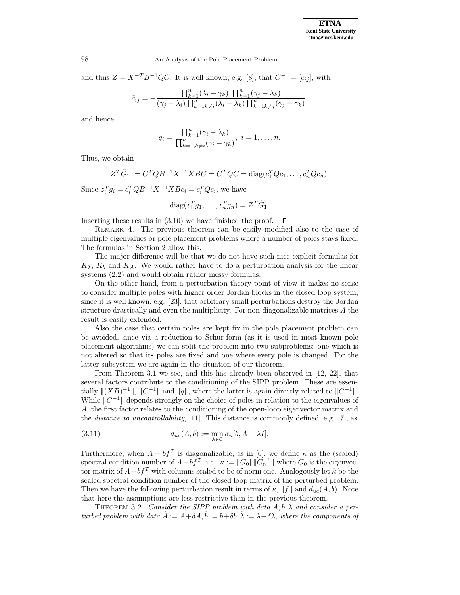and thus  $Z = X^{-T}B^{-1}QC$ . It is well known, e.g. [8], that  $C^{-1} = [\tilde{c}_{ij}]$ , with

$$
\tilde{c}_{ij} = -\frac{\prod_{k=1}^{n} (\lambda_i - \gamma_k) \prod_{k=1}^{n} (\gamma_j - \lambda_k)}{(\gamma_j - \lambda_i) \prod_{k=1}^{n} (\lambda_i - \lambda_k) \prod_{k=1}^{n} (\gamma_j - \gamma_k)},
$$

and hence

$$
q_i = \frac{\prod_{k=1}^n (\gamma_i - \lambda_k)}{\prod_{k=1, k \neq i}^n (\gamma_i - \gamma_k)}, \ i = 1, \dots, n.
$$

Thus, we obtain

$$
Z^T\tilde{G}_1 = C^TQB^{-1}X^{-1}XBC = C^TQC = \text{diag}(c_1^TQc_1,\ldots,c_n^TQc_n).
$$

Since  $z_i^T g_i = c_i^T Q B^{-1} X^{-1} X B c_i = c_i^T Q c_i$ , we have

$$
diag(z_1^T g_1, \dots, z_n^T g_n) = Z^T \tilde{G}_1.
$$

Inserting these results in (3.10) we have finished the proof.  $\Box$ 

Remark 4. The previous theorem can be easily modified also to the case of multiple eigenvalues or pole placement problems where a number of poles stays fixed. The formulas in Section 2 allow this.

The major difference will be that we do not have such nice explicit formulas for  $K_{\lambda}$ ,  $K_{b}$  and  $K_{A}$ . We would rather have to do a perturbation analysis for the linear systems (2.2) and would obtain rather messy formulas.

On the other hand, from a perturbation theory point of view it makes no sense to consider multiple poles with higher order Jordan blocks in the closed loop system, since it is well known, e.g. [23], that arbitrary small perturbations destroy the Jordan structure drastically and even the multiplicity. For non-diagonalizable matrices A the result is easily extended.

Also the case that certain poles are kept fix in the pole placement problem can be avoided, since via a reduction to Schur-form (as it is used in most known pole placement algorithms) we can split the problem into two subproblems: one which is not altered so that its poles are fixed and one where every pole is changed. For the latter subsystem we are again in the situation of our theorem.

From Theorem 3.1 we see, and this has already been observed in [12, 22], that several factors contribute to the conditioning of the SIPP problem. These are essentially  $\|(XB)^{-1}\|$ ,  $\|C^{-1}\|$  and  $\|q\|$ , where the latter is again directly related to  $\|C^{-1}\|$ . While  $||C^{-1}||$  depends strongly on the choice of poles in relation to the eigenvalues of A, the first factor relates to the conditioning of the open-loop eigenvector matrix and the *distance to uncontrollability*, [11]. This distance is commonly defined, e.g. [7], as

(3.11) 
$$
d_{uc}(A,b) := \min_{\lambda \in \mathcal{C}} \sigma_n[b, A - \lambda I].
$$

Furthermore, when  $A - bf^T$  is diagonalizable, as in [6], we define  $\kappa$  as the (scaled) spectral condition number of  $A - bf^T$ , i.e.,  $\kappa := ||G_0|| ||G_0^{-1}||$  where  $G_0$  is the eigenvector matrix of  $A - bf^T$  with columns scaled to be of norm one. Analogously let  $\hat{\kappa}$  be the scaled spectral condition number of the closed loop matrix of the perturbed problem. Then we have the following perturbation result in terms of  $\kappa$ ,  $||f||$  and  $d_{uc}(A,b)$ . Note that here the assumptions are less restrictive than in the previous theorem.

THEOREM 3.2. Consider the SIPP problem with data  $A, b, \lambda$  and consider a perturbed problem with data  $\hat{A} := A + \delta A, \hat{b} := b + \delta b, \hat{\lambda} := \lambda + \delta \lambda$ , where the components of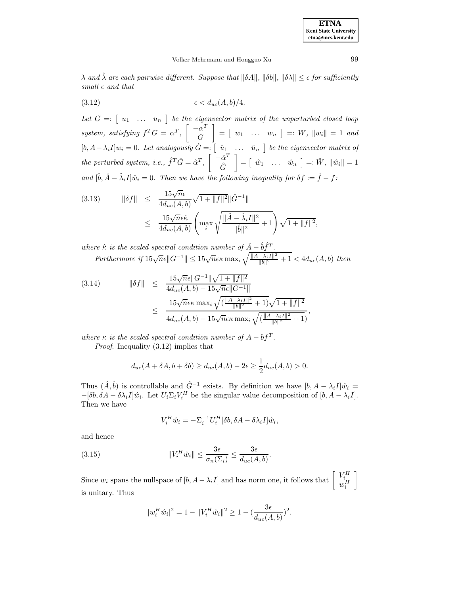| <b>ETNA</b>                  |
|------------------------------|
| <b>Kent State University</b> |
| etna@mcs.kent.edu            |

## Volker Mehrmann and Hongguo Xu 99

 $\lambda$  and  $\hat{\lambda}$  are each pairwise different. Suppose that  $\|\delta A\|$ ,  $\|\delta b\|$ ,  $\|\delta \lambda\| \leq \epsilon$  for sufficiently small  $\epsilon$  and that

$$
(3.12) \qquad \epsilon < d_{uc}(A, b)/4.
$$

Let  $G = \begin{bmatrix} u_1 & \dots & u_n \end{bmatrix}$  be the eigenvector matrix of the unperturbed closed loop system, satisfying  $f^T G = \alpha^T$ ,  $\begin{bmatrix} -\alpha^T \\ C \end{bmatrix}$ G  $\Big] = \Big[ \begin{array}{ccc} w_1 & \ldots & w_n \end{array} \Big] =: W, \ \|w_i\| = 1 \ \text{ and }$  $[b, A - \lambda_i I] w_i = 0$ . Let analogously  $\hat{G} = \begin{bmatrix} \hat{u}_1 & \dots & \hat{u}_n \end{bmatrix}$  be the eigenvector matrix of the perturbed system, i.e.,  $\hat{f}^T \hat{G} = \hat{\alpha}^T$ ,  $\begin{bmatrix} -\hat{\alpha}^T \\ \hat{\alpha} \end{bmatrix}$  $\hat{G}$  $\Big] = \Big[\begin{array}{ccc} \hat{w}_1 & \ldots & \hat{w}_n \end{array} \Big] =: \hat{W}, \, \|\hat{w}_i\| = 1$ and  $[\hat{b}, \hat{A} - \hat{\lambda}_i I]\hat{w}_i = 0$ . Then we have the following inequality for  $\delta f := \hat{f} - f$ :

(3.13) 
$$
\|\delta f\| \leq \frac{15\sqrt{n}\epsilon}{4d_{uc}(A,b)} \sqrt{1 + \|f\|^2} \|\hat{G}^{-1}\| \leq \frac{15\sqrt{n}\epsilon\hat{\kappa}}{4d_{uc}(A,b)} \left(\max_{i} \sqrt{\frac{\|\hat{A} - \hat{\lambda}_i I\|^2}{\|\hat{b}\|^2} + 1}\right) \sqrt{1 + \|f\|^2},
$$

where  $\hat{\kappa}$  is the scaled spectral condition number of  $\hat{A} - \hat{b} \hat{f}^T$ . Furthermore if  $15\sqrt{n}\epsilon \|G^{-1}\| \leq 15\sqrt{n}\epsilon\kappa \max_i \sqrt{\frac{\|A-\lambda_i I\|^2}{\|b\|^2}+1} < 4d_{uc}(A,b)$  then

(3.14) 
$$
\|\delta f\| \leq \frac{15\sqrt{n}\epsilon \|G^{-1}\| \sqrt{1 + \|f\|^2}}{4d_{uc}(A, b) - 15\sqrt{n}\epsilon \|G^{-1}\|} \leq \frac{15\sqrt{n}\epsilon \kappa \max_i \sqrt{(\frac{\|A-\lambda_i I\|^2}{\|b\|^2} + 1)}\sqrt{1 + \|f\|^2}}{4d_{uc}(A, b) - 15\sqrt{n}\epsilon \kappa \max_i \sqrt{(\frac{\|A-\lambda_i I\|^2}{\|b\|^2} + 1)}},
$$

where  $\kappa$  is the scaled spectral condition number of  $A - bf^T$ . Proof. Inequality (3.12) implies that

$$
d_{uc}(A + \delta A, b + \delta b) \ge d_{uc}(A, b) - 2\epsilon \ge \frac{1}{2}d_{uc}(A, b) > 0.
$$

Thus  $(\hat{A}, \hat{b})$  is controllable and  $\hat{G}^{-1}$  exists. By definition we have  $[b, A - \lambda_i I]\hat{w}_i =$  $-[\delta b, \delta A - \delta \lambda_i I] \hat{w}_i$ . Let  $U_i \Sigma_i V_i^H$  be the singular value decomposition of  $[b, A - \lambda_i I]$ . Then we have

$$
V_i^H \hat{w}_i = -\Sigma_i^{-1} U_i^H [\delta b, \delta A - \delta \lambda_i I] \hat{w}_i,
$$

and hence

(3.15) 
$$
||V_i^H \hat{w}_i|| \leq \frac{3\epsilon}{\sigma_n(\Sigma_i)} \leq \frac{3\epsilon}{d_{uc}(A,b)}.
$$

Since  $w_i$  spans the nullspace of  $[b, A - \lambda_i I]$  and has norm one, it follows that  $\begin{bmatrix} V_i^H \\ w_i^H \end{bmatrix}$ 1 is unitary. Thus

$$
|w_i^H \hat{w}_i|^2 = 1 - ||V_i^H \hat{w}_i||^2 \ge 1 - \left(\frac{3\epsilon}{d_{uc}(A,b)}\right)^2.
$$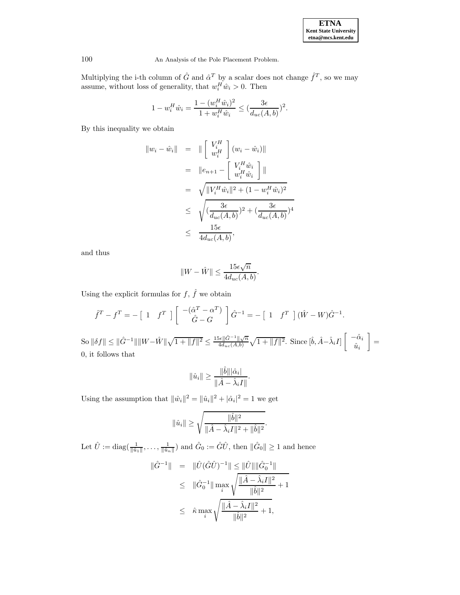| <b>ETNA</b>                  |
|------------------------------|
| <b>Kent State University</b> |
| etna@mcs.kent.edu            |

Multiplying the i-th column of  $\hat{G}$  and  $\hat{\alpha}^T$  by a scalar does not change  $\hat{f}^T$ , so we may assume, without loss of generality, that  $w_i^H \hat{w}_i > 0$ . Then

$$
1 - w_i^H \hat{w}_i = \frac{1 - (w_i^H \hat{w}_i)^2}{1 + w_i^H \hat{w}_i} \le (\frac{3\epsilon}{d_{uc}(A, b)})^2.
$$

By this inequality we obtain

$$
\|w_i - \hat{w}_i\| = \|\begin{bmatrix} V_i^H \\ w_i^H \end{bmatrix} (w_i - \hat{w}_i)\|
$$
  
\n
$$
= \|e_{n+1} - \begin{bmatrix} V_i^H \hat{w}_i \\ w_i^H \hat{w}_i \end{bmatrix}\|
$$
  
\n
$$
= \sqrt{\|V_i^H \hat{w}_i\|^2 + (1 - w_i^H \hat{w}_i)^2}
$$
  
\n
$$
\leq \sqrt{\frac{3\epsilon}{d_{uc}(A,b)}}^2 + (\frac{3\epsilon}{d_{uc}(A,b)})^4
$$
  
\n
$$
\leq \frac{15\epsilon}{4d_{uc}(A,b)},
$$

and thus

$$
||W - \hat{W}|| \le \frac{15\epsilon\sqrt{n}}{4d_{uc}(A,b)}.
$$

Using the explicit formulas for  $f, \, \widehat{f}$  we obtain

$$
\hat{f}^T - f^T = -\begin{bmatrix} 1 & f^T \end{bmatrix} \begin{bmatrix} -(\hat{\alpha}^T - \alpha^T) \\ \hat{G} - G \end{bmatrix} \hat{G}^{-1} = -\begin{bmatrix} 1 & f^T \end{bmatrix} (\hat{W} - W)\hat{G}^{-1}.
$$
  
So  $\|\delta f\| \le \|\hat{G}^{-1}\| \|W - \hat{W}\| \sqrt{1 + \|f\|^2} \le \frac{15\epsilon \|\hat{G}^{-1}\| \sqrt{n}}{4d_{uc}(A,b)} \sqrt{1 + \|f\|^2}.$  Since  $[\hat{b}, \hat{A} - \hat{\lambda}_i I] \begin{bmatrix} -\hat{\alpha}_i \\ \hat{u}_i \end{bmatrix} = 0$ , it follows that

$$
\|\hat{u}_i\| \ge \frac{\|\hat{b}\||\hat{\alpha}_i|}{\|\hat{A} - \hat{\lambda}_i I\|}.
$$

Using the assumption that  $\|\hat{w}_i\|^2 = \|\hat{u}_i\|^2 + |\hat{\alpha}_i|^2 = 1$  we get

$$
\|\hat{u}_i\| \ge \sqrt{\frac{\|\hat{b}\|^2}{\|\hat{A} - \hat{\lambda}_i I\|^2 + \|\hat{b}\|^2}}.
$$

Let  $\hat{U} := \text{diag}(\frac{1}{\|\hat{u}_1\|}, \dots, \frac{1}{\|\hat{u}_n\|})$  and  $\hat{G}_0 := \hat{G}\hat{U}$ , then  $\|\hat{G}_0\| \ge 1$  and hence

$$
\|\hat{G}^{-1}\| = \|\hat{U}(\hat{G}\hat{U})^{-1}\| \le \|\hat{U}\| \|\hat{G}_0^{-1}\|
$$
  
\n
$$
\le \|\hat{G}_0^{-1}\| \max_i \sqrt{\frac{\|\hat{A} - \hat{\lambda}_i I\|^2}{\|\hat{b}\|^2} + 1}
$$
  
\n
$$
\le \hat{\kappa} \max_i \sqrt{\frac{\|\hat{A} - \hat{\lambda}_i I\|^2}{\|\hat{b}\|^2} + 1},
$$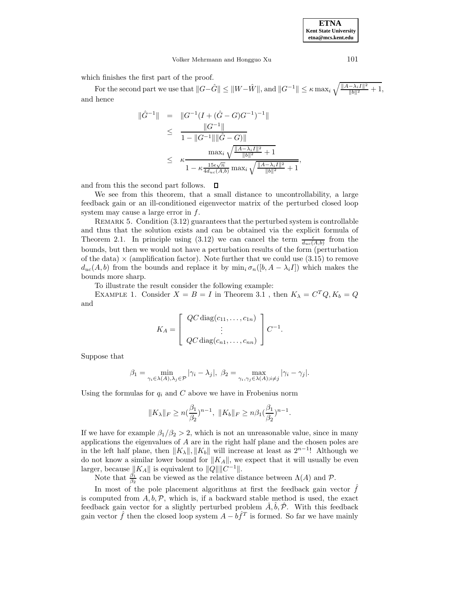Volker Mehrmann and Hongguo Xu 101

which finishes the first part of the proof.

For the second part we use that  $||G-\hat{G}|| \le ||W-\hat{W}||$ , and  $||G^{-1}|| \le \kappa \max_i \sqrt{\frac{||A-\lambda_i I||^2}{||b||^2}+1}$ , and hence

$$
\|\hat{G}^{-1}\| = \|G^{-1}(I + (\hat{G} - G)G^{-1})^{-1}\|
$$
  
\n
$$
\leq \frac{\|G^{-1}\|}{1 - \|G^{-1}\| \|\hat{G} - G\|}
$$
  
\n
$$
\leq \kappa \frac{\max_{i} \sqrt{\frac{\|A - \lambda_{i}I\|^2}{\|b\|^2} + 1}}
$$
  
\n
$$
\leq \kappa \frac{\max_{i} \sqrt{\frac{\|A - \lambda_{i}I\|^2}{\|b\|^2} + 1}}
$$
  
\n
$$
1 - \kappa \frac{15\epsilon \sqrt{n}}{4d_{uc}(A, b)} \max_{i} \sqrt{\frac{\|A - \lambda_{i}I\|^2}{\|b\|^2} + 1}},
$$

and from this the second part follows.  $\Box$ 

We see from this theorem, that a small distance to uncontrollability, a large feedback gain or an ill-conditioned eigenvector matrix of the perturbed closed loop system may cause a large error in f.

REMARK 5. Condition  $(3.12)$  guarantees that the perturbed system is controllable and thus that the solution exists and can be obtained via the explicit formula of Theorem 2.1. In principle using (3.12) we can cancel the term  $\frac{\epsilon}{d_{uc}(A,b)}$  from the bounds, but then we would not have a perturbation results of the form (perturbation of the data)  $\times$  (amplification factor). Note further that we could use (3.15) to remove  $d_{uc}(A,b)$  from the bounds and replace it by  $\min_i \sigma_n([b, A - \lambda_i I])$  which makes the bounds more sharp.

To illustrate the result consider the following example:

EXAMPLE 1. Consider  $X = B = I$  in Theorem 3.1 , then  $K_{\lambda} = C^{T}Q, K_{b} = Q$ and

$$
K_A = \begin{bmatrix} QC \operatorname{diag}(c_{11}, \dots, c_{1n}) \\ \vdots \\ QC \operatorname{diag}(c_{n1}, \dots, c_{nn}) \end{bmatrix} C^{-1}.
$$

Suppose that

$$
\beta_1 = \min_{\gamma_i \in \lambda(A), \lambda_j \in \mathcal{P}} |\gamma_i - \lambda_j|, \ \beta_2 = \max_{\gamma_i, \gamma_j \in \lambda(A); i \neq j} |\gamma_i - \gamma_j|.
$$

Using the formulas for  $q_i$  and C above we have in Frobenius norm

$$
||K_{\lambda}||_F \ge n\left(\frac{\beta_1}{\beta_2}\right)^{n-1}, \ ||K_b||_F \ge n\beta_1\left(\frac{\beta_1}{\beta_2}\right)^{n-1}.
$$

If we have for example  $\beta_1/\beta_2 > 2$ , which is not an unreasonable value, since in many applications the eigenvalues of A are in the right half plane and the chosen poles are in the left half plane, then  $||K_\lambda||, ||K_b||$  will increase at least as  $2^{n-1}$ ! Although we do not know a similar lower bound for  $||K_A||$ , we expect that it will usually be even larger, because  $||K_A||$  is equivalent to  $||Q|| ||C^{-1}||$ .

Note that  $\frac{\beta_1}{\beta_2}$  can be viewed as the relative distance between  $\Lambda(A)$  and  $\mathcal{P}$ .

In most of the pole placement algorithms at first the feedback gain vector  $f$ is computed from  $A, b, \mathcal{P}$ , which is, if a backward stable method is used, the exact feedback gain vector for a slightly perturbed problem  $\hat{A}, \hat{b}, \hat{\mathcal{P}}$ . With this feedback gain vector  $\hat{f}$  then the closed loop system  $A - b\hat{f}^T$  is formed. So far we have mainly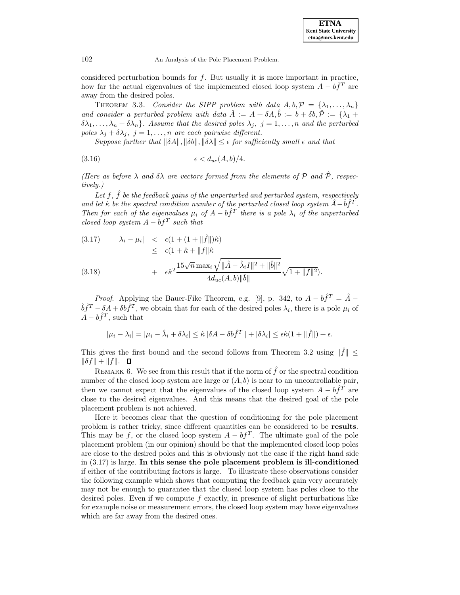considered perturbation bounds for  $f$ . But usually it is more important in practice, how far the actual eigenvalues of the implemented closed loop system  $A - b \hat{f}^T$  are away from the desired poles.

THEOREM 3.3. Consider the SIPP problem with data  $A, b, \mathcal{P} = {\lambda_1, \ldots, \lambda_n}$ and consider a perturbed problem with data  $\hat{A} := A + \delta A, \hat{b} := b + \delta b, \hat{\mathcal{P}} := {\lambda_1 + \lambda_2 + \cdots + \lambda_k}$  $\delta\lambda_1,\ldots,\lambda_n+\delta\lambda_n$ . Assume that the desired poles  $\lambda_j, j=1,\ldots,n$  and the perturbed poles  $\lambda_i + \delta \lambda_j$ ,  $j = 1, \ldots, n$  are each pairwise different.

Suppose further that  $\|\delta A\|$ ,  $\|\delta b\|$ ,  $\|\delta \lambda\| \leq \epsilon$  for sufficiently small  $\epsilon$  and that

$$
(3.16)\qquad \qquad \epsilon < d_{uc}(A,b)/4.
$$

(Here as before  $\lambda$  and  $\delta\lambda$  are vectors formed from the elements of P and  $\hat{\mathcal{P}}$ , respectively.)

Let  $f, \hat{f}$  be the feedback gains of the unperturbed and perturbed system, respectively and let  $\hat{\kappa}$  be the spectral condition number of the perturbed closed loop system  $\hat{A}-\hat{b}f^T$ . Then for each of the eigenvalues  $\mu_i$  of  $A - b \hat{f}^T$  there is a pole  $\lambda_i$  of the unperturbed closed loop system  $A - bf^T$  such that

(3.17) 
$$
|\lambda_i - \mu_i| < \epsilon (1 + (1 + ||\hat{f}||)\hat{\kappa})
$$
  
\n
$$
\leq \epsilon (1 + \hat{\kappa} + ||f||\hat{\kappa})
$$
  
\n
$$
+ \epsilon \hat{\kappa}^2 \frac{15\sqrt{n} \max_i \sqrt{||\hat{A} - \hat{\lambda}_i I||^2 + ||\hat{b}||^2}}{4d_{uc}(A, b)||\hat{b}||} \sqrt{1 + ||f||^2}).
$$

*Proof.* Applying the Bauer-Fike Theorem, e.g. [9], p. 342, to  $A - b\hat{f}^T = \hat{A} \hat{b}\hat{f}^T - \delta A + \delta b\hat{f}^T$ , we obtain that for each of the desired poles  $\lambda_i$ , there is a pole  $\mu_i$  of  $A - b\hat{f}^T$ , such that

$$
|\mu_i - \lambda_i| = |\mu_i - \hat{\lambda}_i + \delta \lambda_i| \leq \hat{\kappa} \|\delta A - \delta b \hat{f}^T\| + |\delta \lambda_i| \leq \epsilon \hat{\kappa} (1 + \|\hat{f}\|) + \epsilon.
$$

This gives the first bound and the second follows from Theorem 3.2 using  $||\hat{f}|| \leq$  $\|\delta f\| + \|f\|$ .  $\Box$ 

REMARK 6. We see from this result that if the norm of  $\hat{f}$  or the spectral condition number of the closed loop system are large or  $(A, b)$  is near to an uncontrollable pair, then we cannot expect that the eigenvalues of the closed loop system  $A - b\hat{f}^T$  are close to the desired eigenvalues. And this means that the desired goal of the pole placement problem is not achieved.

Here it becomes clear that the question of conditioning for the pole placement problem is rather tricky, since different quantities can be considered to be **results**. This may be f, or the closed loop system  $A - bf^T$ . The ultimate goal of the pole placement problem (in our opinion) should be that the implemented closed loop poles are close to the desired poles and this is obviously not the case if the right hand side in (3.17) is large. **In this sense the pole placement problem is ill-conditioned** if either of the contributing factors is large. To illustrate these observations consider the following example which shows that computing the feedback gain very accurately may not be enough to guarantee that the closed loop system has poles close to the desired poles. Even if we compute  $f$  exactly, in presence of slight perturbations like for example noise or measurement errors, the closed loop system may have eigenvalues which are far away from the desired ones.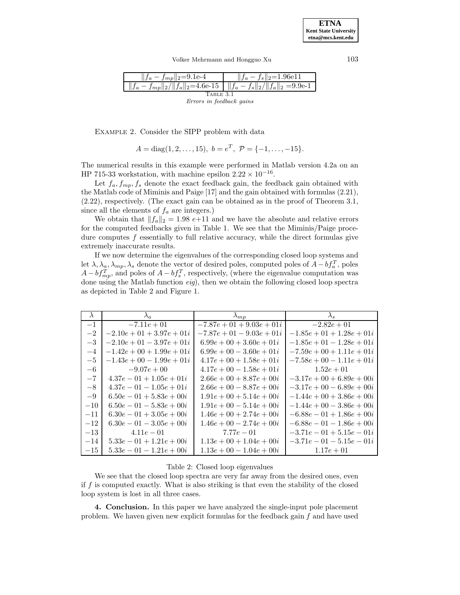Volker Mehrmann and Hongguo Xu 103



Example 2. Consider the SIPP problem with data

 $A = \text{diag}(1, 2, \ldots, 15), b = e^T, \mathcal{P} = \{-1, \ldots, -15\}.$ 

The numerical results in this example were performed in Matlab version 4.2a on an HP 715-33 workstation, with machine epsilon  $2.22 \times 10^{-16}$ .

Let  $f_a, f_{mp}, f_s$  denote the exact feedback gain, the feedback gain obtained with the Matlab code of Miminis and Paige [17] and the gain obtained with formulas (2.21), (2.22), respectively. (The exact gain can be obtained as in the proof of Theorem 3.1, since all the elements of  $f_a$  are integers.)

We obtain that  $||f_a||_2 = 1.98$  e+11 and we have the absolute and relative errors for the computed feedbacks given in Table 1. We see that the Miminis/Paige procedure computes  $f$  essentially to full relative accuracy, while the direct formulas give extremely inaccurate results.

If we now determine the eigenvalues of the corresponding closed loop systems and let  $\lambda, \lambda_a, \lambda_{mp}, \lambda_s$  denote the vector of desired poles, computed poles of  $A - bf_a^T$ , poles  $A - bf_{mp}^T$ , and poles of  $A - bf_s^T$ , respectively, (where the eigenvalue computation was done using the Matlab function eig), then we obtain the following closed loop spectra as depicted in Table 2 and Figure 1.

|       | $\lambda_a$                 | $\lambda_{mp}$              | $\lambda_s$                 |
|-------|-----------------------------|-----------------------------|-----------------------------|
| $-1$  | $-7.11e + 01$               | $-7.87e + 01 + 9.03e + 01i$ | $-2.82e + 01$               |
| $-2$  | $-2.10e + 01 + 3.97e + 01i$ | $-7.87e + 01 - 9.03e + 01i$ | $-1.85e + 01 + 1.28e + 01i$ |
| $-3$  | $-2.10e + 01 - 3.97e + 01i$ | $6.99e + 00 + 3.60e + 01i$  | $-1.85e + 01 - 1.28e + 01i$ |
| $-4$  | $-1.42e + 00 + 1.99e + 01i$ | $6.99e + 00 - 3.60e + 01i$  | $-7.59e + 00 + 1.11e + 01i$ |
| $-5$  | $-1.43e + 00 - 1.99e + 01i$ | $4.17e + 00 + 1.58e + 01i$  | $-7.58e + 00 - 1.11e + 01i$ |
| $-6$  | $-9.07e + 00$               | $4.17e + 00 - 1.58e + 01i$  | $1.52e + 01$                |
| $-7$  | $4.37e-01+1.05e+01i$        | $2.66e + 00 + 8.87e + 00i$  | $-3.17e + 00 + 6.89e + 00i$ |
| $-8$  | $4.37e-01-1.05e+01i$        | $2.66e + 00 - 8.87e + 00i$  | $-3.17e + 00 - 6.89e + 00i$ |
| $-9$  | $6.50e-01+5.83e+00i$        | $1.91e + 00 + 5.14e + 00i$  | $-1.44e + 00 + 3.86e + 00i$ |
| $-10$ | $6.50e-01-5.83e+00i$        | $1.91e + 00 - 5.14e + 00i$  | $-1.44e + 00 - 3.86e + 00i$ |
| $-11$ | $6.30e-01+3.05e+00i$        | $1.46e + 00 + 2.74e + 00i$  | $-6.88e - 01 + 1.86e + 00i$ |
| $-12$ | $6.30e-01-3.05e+00i$        | $1.46e + 00 - 2.74e + 00i$  | $-6.88e - 01 - 1.86e + 00i$ |
| $-13$ | $4.11e-01$                  | $7.77e - 01$                | $-3.71e - 01 + 5.15e - 01i$ |
| $-14$ | $5.33e - 01 + 1.21e + 00i$  | $1.13e + 00 + 1.04e + 00i$  | $-3.71e - 01 - 5.15e - 01i$ |
| $-15$ | $5.33e-01-1.21e+00i$        | $1.13e + 00 - 1.04e + 00i$  | $1.17e + 01$                |

# Table 2: Closed loop eigenvalues

We see that the closed loop spectra are very far away from the desired ones, even if  $f$  is computed exactly. What is also striking is that even the stability of the closed loop system is lost in all three cases.

**4. Conclusion.** In this paper we have analyzed the single-input pole placement problem. We haven given new explicit formulas for the feedback gain  $f$  and have used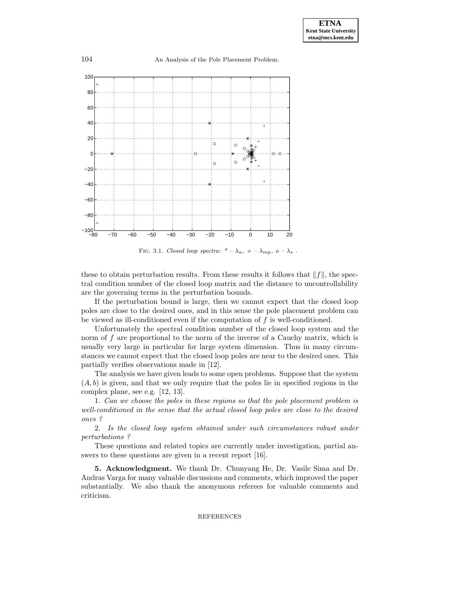

FIG. 3.1. Closed loop spectra: \* –  $\lambda_a$ , + –  $\lambda_{mp}$ , o –  $\lambda_s$ .

these to obtain perturbation results. From these results it follows that  $||f||$ , the spectral condition number of the closed loop matrix and the distance to uncontrollability are the governing terms in the perturbation bounds.

If the perturbation bound is large, then we cannot expect that the closed loop poles are close to the desired ones, and in this sense the pole placement problem can be viewed as ill-conditioned even if the computation of  $f$  is well-conditioned.

Unfortunately the spectral condition number of the closed loop system and the norm of  $f$  are proportional to the norm of the inverse of a Cauchy matrix, which is usually very large in particular for large system dimension. Thus in many circumstances we cannot expect that the closed loop poles are near to the desired ones. This partially verifies observations made in [12].

The analysis we have given leads to some open problems. Suppose that the system  $(A, b)$  is given, and that we only require that the poles lie in specified regions in the complex plane, see e.g. [12, 13].

1. Can we choose the poles in these regions so that the pole placement problem is well-conditioned in the sense that the actual closed loop poles are close to the desired ones ?

2. Is the closed loop system obtained under such circumstances robust under perturbations ?

These questions and related topics are currently under investigation, partial answers to these questions are given in a recent report [16].

**5. Acknowledgment.** We thank Dr. Chunyang He, Dr. Vasile Sima and Dr. Andras Varga for many valuable discussions and comments, which improved the paper substantially. We also thank the anonymous referees for valuable comments and criticism.

# REFERENCES